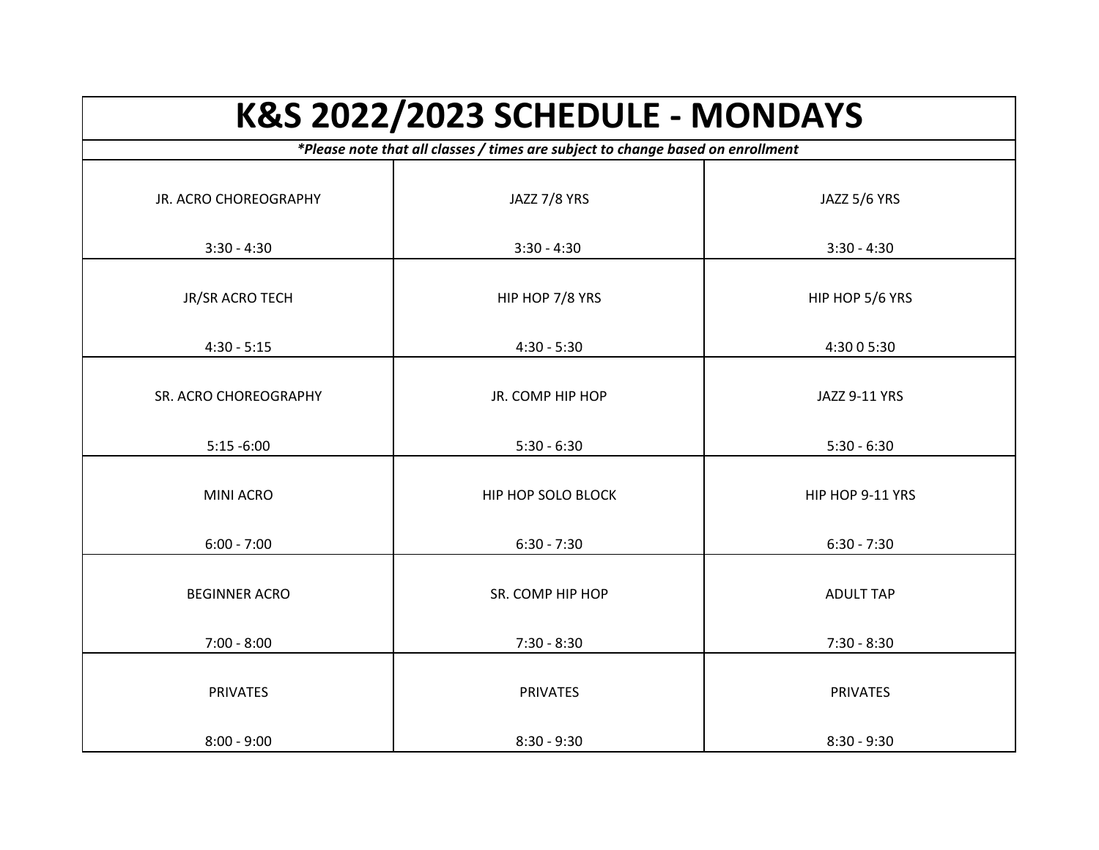| K&S 2022/2023 SCHEDULE - MONDAYS |                                                                                 |                  |
|----------------------------------|---------------------------------------------------------------------------------|------------------|
|                                  | *Please note that all classes / times are subject to change based on enrollment |                  |
| JR. ACRO CHOREOGRAPHY            | JAZZ 7/8 YRS                                                                    | JAZZ 5/6 YRS     |
| $3:30 - 4:30$                    | $3:30 - 4:30$                                                                   | $3:30 - 4:30$    |
| JR/SR ACRO TECH                  | HIP HOP 7/8 YRS                                                                 | HIP HOP 5/6 YRS  |
| $4:30 - 5:15$                    | $4:30 - 5:30$                                                                   | 4:30 0 5:30      |
| SR. ACRO CHOREOGRAPHY            | JR. COMP HIP HOP                                                                | JAZZ 9-11 YRS    |
| $5:15 - 6:00$                    | $5:30 - 6:30$                                                                   | $5:30 - 6:30$    |
| <b>MINI ACRO</b>                 | <b>HIP HOP SOLO BLOCK</b>                                                       | HIP HOP 9-11 YRS |
| $6:00 - 7:00$                    | $6:30 - 7:30$                                                                   | $6:30 - 7:30$    |
| <b>BEGINNER ACRO</b>             | SR. COMP HIP HOP                                                                | <b>ADULT TAP</b> |
| $7:00 - 8:00$                    | $7:30 - 8:30$                                                                   | $7:30 - 8:30$    |
| <b>PRIVATES</b>                  | <b>PRIVATES</b>                                                                 | <b>PRIVATES</b>  |
| $8:00 - 9:00$                    | $8:30 - 9:30$                                                                   | $8:30 - 9:30$    |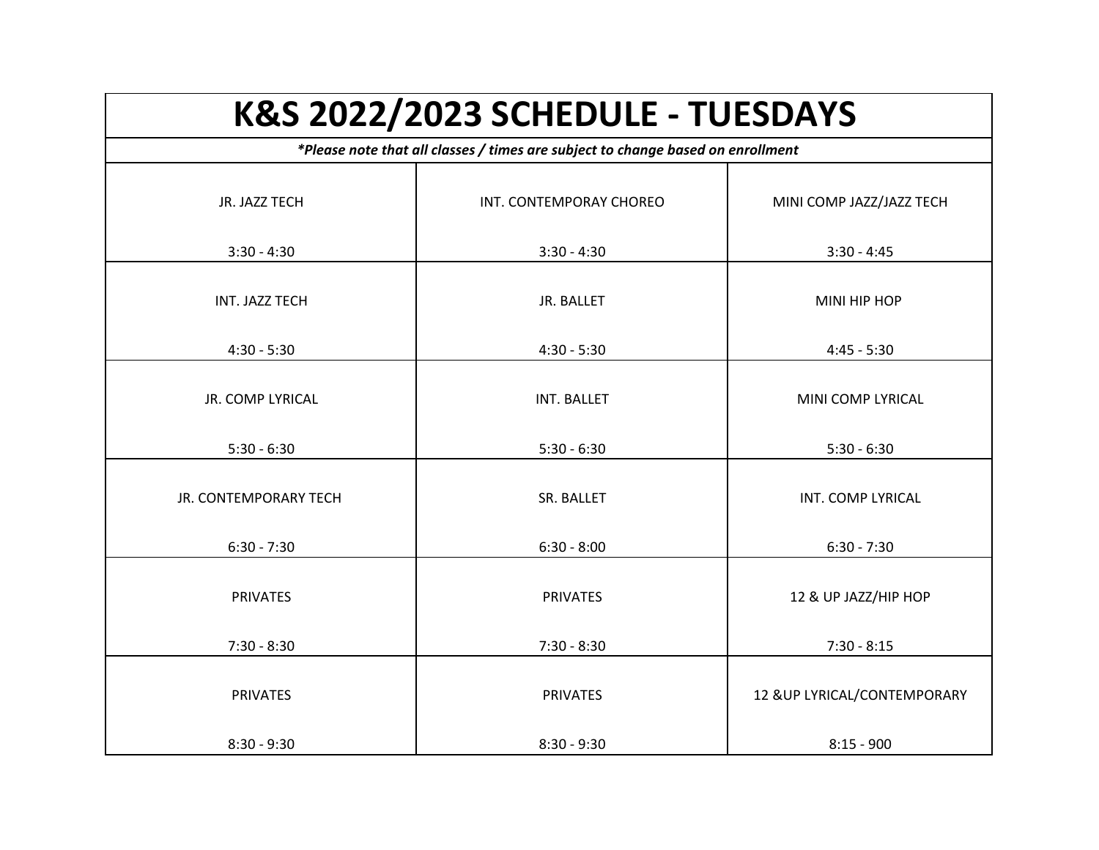| K&S 2022/2023 SCHEDULE - TUESDAYS<br>*Please note that all classes / times are subject to change based on enrollment |                             |                                    |
|----------------------------------------------------------------------------------------------------------------------|-----------------------------|------------------------------------|
|                                                                                                                      |                             |                                    |
| $3:30 - 4:30$                                                                                                        | $3:30 - 4:30$               | $3:30 - 4:45$                      |
| INT. JAZZ TECH                                                                                                       | JR. BALLET                  | MINI HIP HOP                       |
| $4:30 - 5:30$                                                                                                        | $4:30 - 5:30$               | $4:45 - 5:30$                      |
| JR. COMP LYRICAL                                                                                                     | INT. BALLET                 | MINI COMP LYRICAL                  |
| $5:30 - 6:30$                                                                                                        | $5:30 - 6:30$               | $5:30 - 6:30$                      |
| <b>JR. CONTEMPORARY TECH</b><br>$6:30 - 7:30$                                                                        | SR. BALLET<br>$6:30 - 8:00$ | INT. COMP LYRICAL<br>$6:30 - 7:30$ |
| <b>PRIVATES</b>                                                                                                      | <b>PRIVATES</b>             | 12 & UP JAZZ/HIP HOP               |
| $7:30 - 8:30$                                                                                                        | $7:30 - 8:30$               | $7:30 - 8:15$                      |
| <b>PRIVATES</b>                                                                                                      | <b>PRIVATES</b>             | 12 & UP LYRICAL/CONTEMPORARY       |
| $8:30 - 9:30$                                                                                                        | $8:30 - 9:30$               | $8:15 - 900$                       |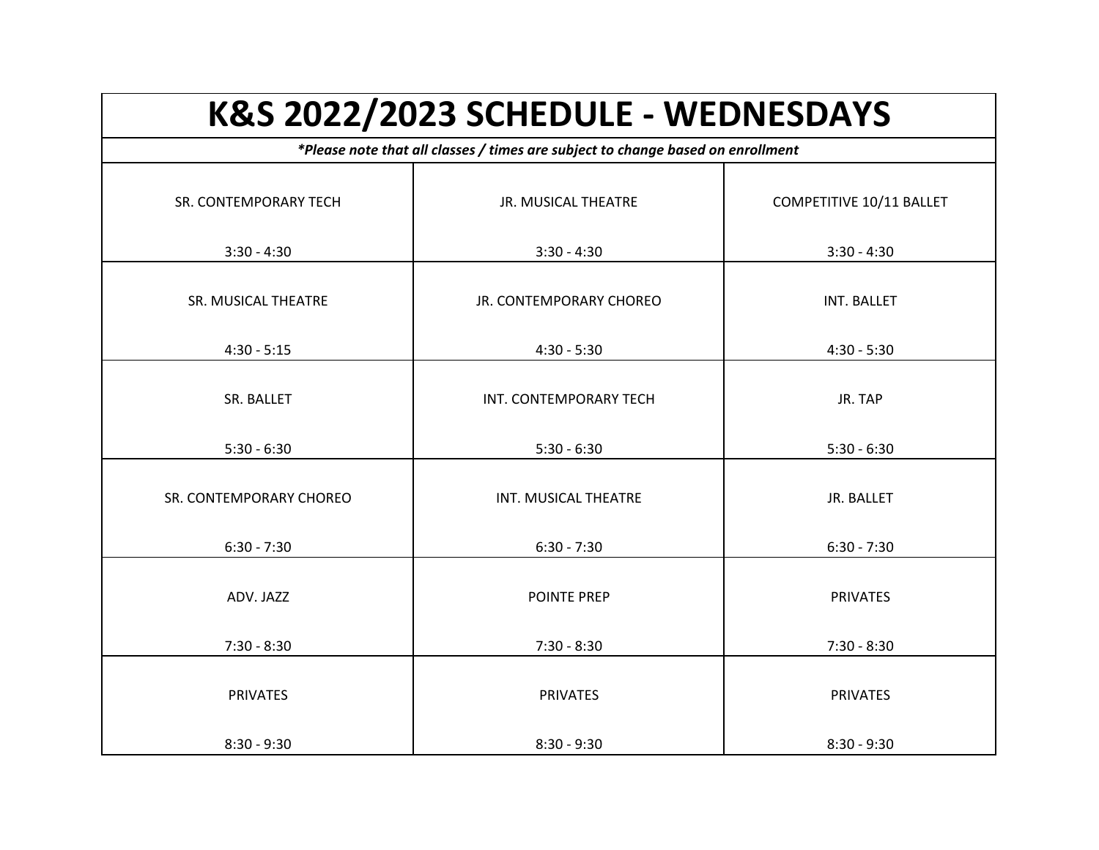| K&S 2022/2023 SCHEDULE - WEDNESDAYS<br>*Please note that all classes / times are subject to change based on enrollment |                         |                 |
|------------------------------------------------------------------------------------------------------------------------|-------------------------|-----------------|
|                                                                                                                        |                         |                 |
| $3:30 - 4:30$                                                                                                          | $3:30 - 4:30$           | $3:30 - 4:30$   |
| SR. MUSICAL THEATRE                                                                                                    | JR. CONTEMPORARY CHOREO | INT. BALLET     |
| $4:30 - 5:15$                                                                                                          | $4:30 - 5:30$           | $4:30 - 5:30$   |
| SR. BALLET                                                                                                             | INT. CONTEMPORARY TECH  | JR. TAP         |
| $5:30 - 6:30$                                                                                                          | $5:30 - 6:30$           | $5:30 - 6:30$   |
| SR. CONTEMPORARY CHOREO                                                                                                | INT. MUSICAL THEATRE    | JR. BALLET      |
| $6:30 - 7:30$                                                                                                          | $6:30 - 7:30$           | $6:30 - 7:30$   |
| ADV. JAZZ                                                                                                              | <b>POINTE PREP</b>      | <b>PRIVATES</b> |
| $7:30 - 8:30$                                                                                                          | $7:30 - 8:30$           | $7:30 - 8:30$   |
| <b>PRIVATES</b>                                                                                                        | <b>PRIVATES</b>         | <b>PRIVATES</b> |
| $8:30 - 9:30$                                                                                                          | $8:30 - 9:30$           | $8:30 - 9:30$   |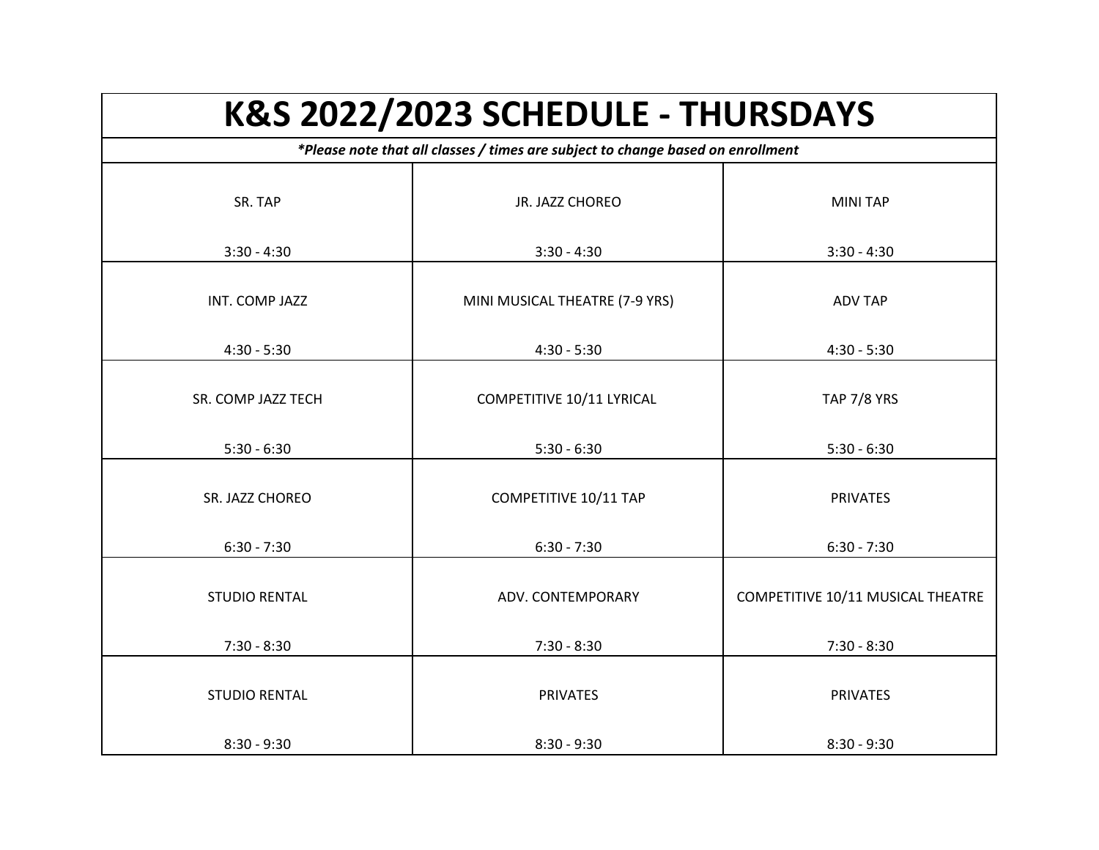| K&S 2022/2023 SCHEDULE - THURSDAYS<br>*Please note that all classes / times are subject to change based on enrollment |                                |                                   |
|-----------------------------------------------------------------------------------------------------------------------|--------------------------------|-----------------------------------|
|                                                                                                                       |                                |                                   |
| $3:30 - 4:30$                                                                                                         | $3:30 - 4:30$                  | $3:30 - 4:30$                     |
| INT. COMP JAZZ                                                                                                        | MINI MUSICAL THEATRE (7-9 YRS) | <b>ADV TAP</b>                    |
| $4:30 - 5:30$                                                                                                         | $4:30 - 5:30$                  | $4:30 - 5:30$                     |
| SR. COMP JAZZ TECH                                                                                                    | COMPETITIVE 10/11 LYRICAL      | <b>TAP 7/8 YRS</b>                |
| $5:30 - 6:30$                                                                                                         | $5:30 - 6:30$                  | $5:30 - 6:30$                     |
| SR. JAZZ CHOREO                                                                                                       | COMPETITIVE 10/11 TAP          | <b>PRIVATES</b>                   |
| $6:30 - 7:30$                                                                                                         | $6:30 - 7:30$                  | $6:30 - 7:30$                     |
| <b>STUDIO RENTAL</b>                                                                                                  | ADV. CONTEMPORARY              | COMPETITIVE 10/11 MUSICAL THEATRE |
| $7:30 - 8:30$                                                                                                         | $7:30 - 8:30$                  | $7:30 - 8:30$                     |
| <b>STUDIO RENTAL</b>                                                                                                  | <b>PRIVATES</b>                | <b>PRIVATES</b>                   |
| $8:30 - 9:30$                                                                                                         | $8:30 - 9:30$                  | $8:30 - 9:30$                     |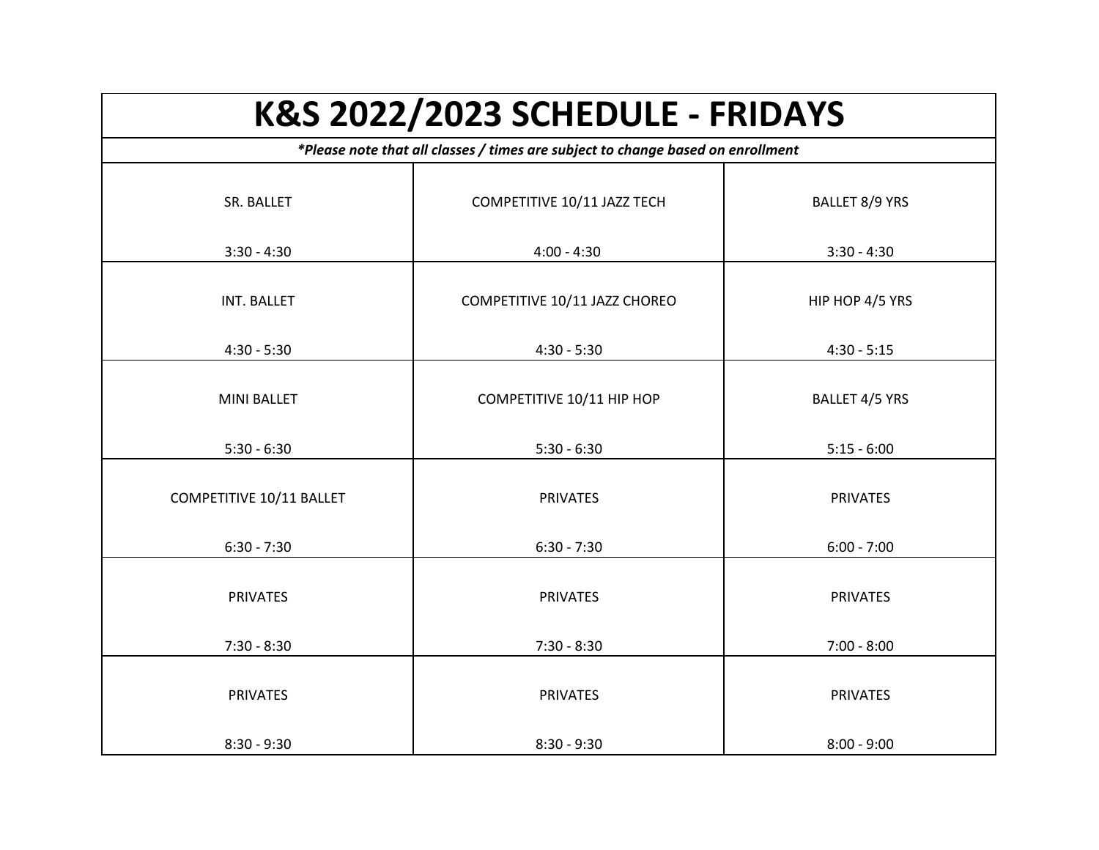| <b>K&amp;S 2022/2023 SCHEDULE - FRIDAYS</b><br>*Please note that all classes / times are subject to change based on enrollment |                               |                 |
|--------------------------------------------------------------------------------------------------------------------------------|-------------------------------|-----------------|
|                                                                                                                                |                               |                 |
| $3:30 - 4:30$                                                                                                                  | $4:00 - 4:30$                 | $3:30 - 4:30$   |
| INT. BALLET                                                                                                                    | COMPETITIVE 10/11 JAZZ CHOREO | HIP HOP 4/5 YRS |
| $4:30 - 5:30$                                                                                                                  | $4:30 - 5:30$                 | $4:30 - 5:15$   |
| <b>MINI BALLET</b>                                                                                                             | COMPETITIVE 10/11 HIP HOP     | BALLET 4/5 YRS  |
| $5:30 - 6:30$                                                                                                                  | $5:30 - 6:30$                 | $5:15 - 6:00$   |
| COMPETITIVE 10/11 BALLET                                                                                                       | <b>PRIVATES</b>               | <b>PRIVATES</b> |
| $6:30 - 7:30$                                                                                                                  | $6:30 - 7:30$                 | $6:00 - 7:00$   |
| <b>PRIVATES</b>                                                                                                                | <b>PRIVATES</b>               | <b>PRIVATES</b> |
| $7:30 - 8:30$                                                                                                                  | $7:30 - 8:30$                 | $7:00 - 8:00$   |
| <b>PRIVATES</b>                                                                                                                | <b>PRIVATES</b>               | <b>PRIVATES</b> |
| $8:30 - 9:30$                                                                                                                  | $8:30 - 9:30$                 | $8:00 - 9:00$   |